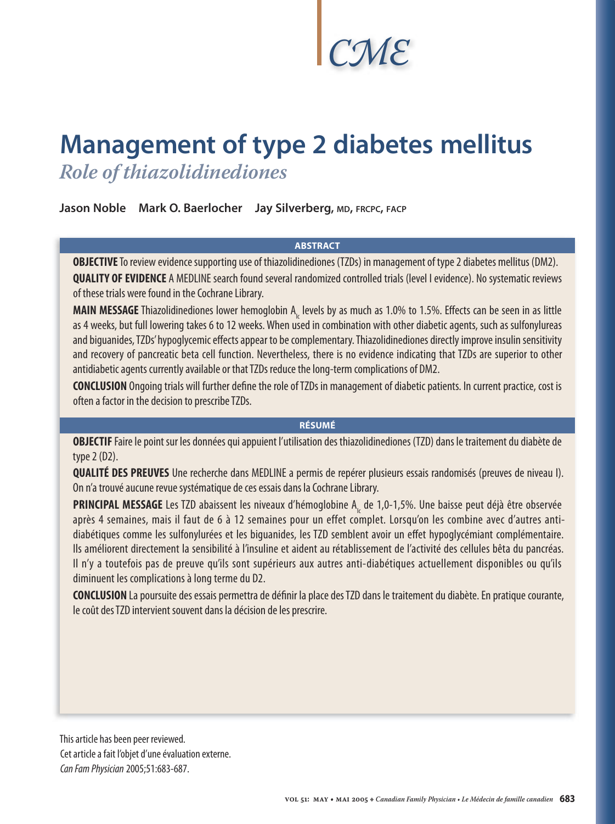# *CME*

# **Management of type 2 diabetes mellitus** *Role of thiazolidinediones*

**Jason Noble Mark O. Baerlocher Jay Silverberg, MD, FRCPC, FACP**

#### **ABSTRACT**

**OBJECTIVE** To review evidence supporting use of thiazolidinediones (TZDs) in management of type 2 diabetes mellitus (DM2). **QUALITY OF EVIDENCE** A MEDLINE search found several randomized controlled trials (level I evidence). No systematic reviews of these trials were found in the Cochrane Library.

**MAIN MESSAGE** Thiazolidinediones lower hemoglobin A<sub>Ic</sub> levels by as much as 1.0% to 1.5%. Effects can be seen in as little as 4 weeks, but full lowering takes 6 to 12 weeks. When used in combination with other diabetic agents, such as sulfonylureas and biguanides, TZDs' hypoglycemic effects appear to be complementary. Thiazolidinediones directly improve insulin sensitivity and recovery of pancreatic beta cell function. Nevertheless, there is no evidence indicating that TZDs are superior to other antidiabetic agents currently available or that TZDs reduce the long-term complications of DM2.

**CONCLUSION** Ongoing trials will further define the role of TZDs in management of diabetic patients. In current practice, cost is often a factor in the decision to prescribe TZDs.

#### **RÉSUMÉ**

**OBJECTIF** Faire le point sur les données qui appuient l'utilisation des thiazolidinediones (TZD) dans le traitement du diabète de type 2 (D2).

**QUALITÉ DES PREUVES** Une recherche dans MEDLINE a permis de repérer plusieurs essais randomisés (preuves de niveau I). On n'a trouvé aucune revue systématique de ces essais dans la Cochrane Library.

**PRINCIPAL MESSAGE** Les TZD abaissent les niveaux d'hémoglobine A<sub>Ic</sub> de 1,0-1,5%. Une baisse peut déjà être observée après 4 semaines, mais il faut de 6 à 12 semaines pour un effet complet. Lorsqu'on les combine avec d'autres antidiabétiques comme les sulfonylurées et les biguanides, les TZD semblent avoir un effet hypoglycémiant complémentaire. Ils améliorent directement la sensibilité à l'insuline et aident au rétablissement de l'activité des cellules bêta du pancréas. Il n'y a toutefois pas de preuve qu'ils sont supérieurs aux autres anti-diabétiques actuellement disponibles ou qu'ils diminuent les complications à long terme du D2.

**CONCLUSION** La poursuite des essais permettra de définir la place des TZD dans le traitement du diabète. En pratique courante, le coût des TZD intervient souvent dans la décision de les prescrire.

This article has been peer reviewed. Cet article a fait l'objet d'une évaluation externe. Can Fam Physician2005;51:683-687.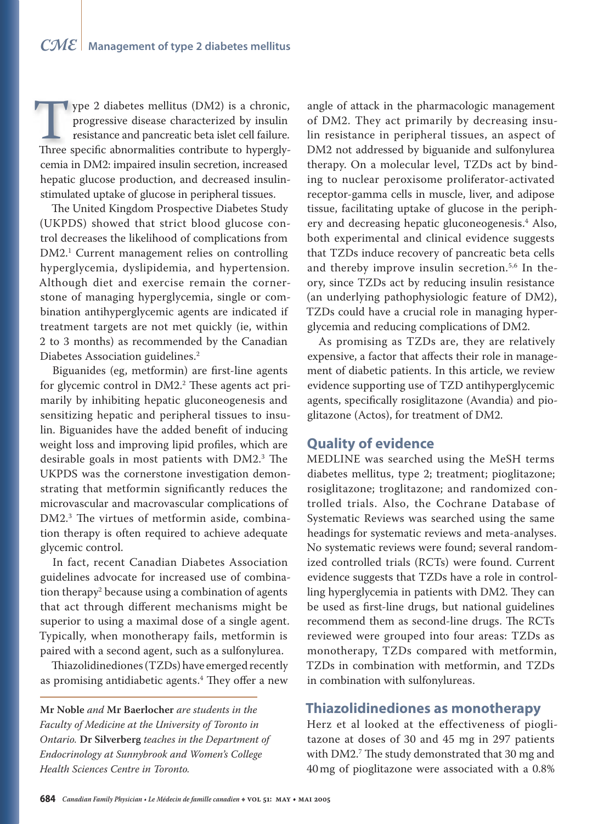ype 2 diabetes mellitus (DM2) is a chronic, ype 2 diabetes mellitus (DM2) is a chronic, progressive disease characterized by insulin progressive disease characterized by insulin resistance and pancreatic beta islet cell failure. For a specific abnormalities (DM2) is a chronic,<br>progressive disease characterized by insulin<br>resistance and pancreatic beta islet cell failure.<br>Three specific abnormalities contribute to hyperglycemia in DM2: impaired insulin secretion, increased hepatic glucose production, and decreased insulinstimulated uptake of glucose in peripheral tissues.

The United Kingdom Prospective Diabetes Study (UKPDS) showed that strict blood glucose control decreases the likelihood of complications from DM2.1 Current management relies on controlling hyperglycemia, dyslipidemia, and hypertension. Although diet and exercise remain the cornerstone of managing hyperglycemia, single or combination antihyperglycemic agents are indicated if treatment targets are not met quickly (ie, within 2 to 3 months) as recommended by the Canadian Diabetes Association guidelines.<sup>2</sup>

Biguanides (eg, metformin) are first-line agents for glycemic control in DM2.<sup>2</sup> These agents act primarily by inhibiting hepatic gluconeogenesis and sensitizing hepatic and peripheral tissues to insulin. Biguanides have the added benefit of inducing weight loss and improving lipid profiles, which are desirable goals in most patients with DM2.<sup>3</sup> The UKPDS was the cornerstone investigation demonstrating that metformin significantly reduces the microvascular and macrovascular complications of DM2.<sup>3</sup> The virtues of metformin aside, combination therapy is often required to achieve adequate glycemic control.

In fact, recent Canadian Diabetes Association guidelines advocate for increased use of combination therapy2 because using a combination of agents that act through different mechanisms might be superior to using a maximal dose of a single agent. Typically, when monotherapy fails, metformin is paired with a second agent, such as a sulfonylurea.

Thiazolidinediones (TZDs) have emerged recently as promising antidiabetic agents.<sup>4</sup> They offer a new

**Mr Noble** *and* **Mr Baerlocher** *are students in the Faculty of Medicine at the University of Toronto in Ontario.* **Dr Silverberg** *teaches in the Department of Endocrinology at Sunnybrook and Women's College Health Sciences Centre in Toronto.*

angle of attack in the pharmacologic management of DM2. They act primarily by decreasing insulin resistance in peripheral tissues, an aspect of DM2 not addressed by biguanide and sulfonylurea therapy. On a molecular level, TZDs act by binding to nuclear peroxisome proliferator-activated receptor-gamma cells in muscle, liver, and adipose tissue, facilitating uptake of glucose in the periphery and decreasing hepatic gluconeogenesis.4 Also, both experimental and clinical evidence suggests that TZDs induce recovery of pancreatic beta cells and thereby improve insulin secretion.<sup>5,6</sup> In theory, since TZDs act by reducing insulin resistance (an underlying pathophysiologic feature of DM2), TZDs could have a crucial role in managing hyperglycemia and reducing complications of DM2.

As promising as TZDs are, they are relatively expensive, a factor that affects their role in management of diabetic patients. In this article, we review evidence supporting use of TZD antihyperglycemic agents, specifically rosiglitazone (Avandia) and pioglitazone (Actos), for treatment of DM2.

### **Quality of evidence**

MEDLINE was searched using the MeSH terms diabetes mellitus, type 2; treatment; pioglitazone; rosiglitazone; troglitazone; and randomized controlled trials. Also, the Cochrane Database of Systematic Reviews was searched using the same headings for systematic reviews and meta-analyses. No systematic reviews were found; several randomized controlled trials (RCTs) were found. Current evidence suggests that TZDs have a role in controlling hyperglycemia in patients with DM2. They can be used as first-line drugs, but national guidelines recommend them as second-line drugs. The RCTs reviewed were grouped into four areas: TZDs as monotherapy, TZDs compared with metformin, TZDs in combination with metformin, and TZDs in combination with sulfonylureas.

# **Thiazolidinediones as monotherapy**

Herz et al looked at the effectiveness of pioglitazone at doses of 30 and 45 mg in 297 patients with DM2.<sup>7</sup> The study demonstrated that 30 mg and 40 mg of pioglitazone were associated with a 0.8%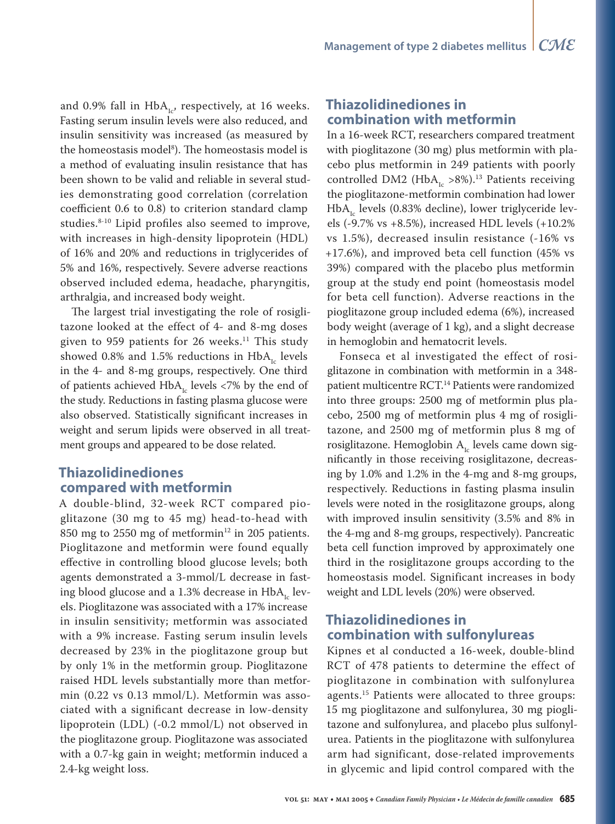and 0.9% fall in  $HbA_{1c}$ , respectively, at 16 weeks. Fasting serum insulin levels were also reduced, and insulin sensitivity was increased (as measured by the homeostasis model<sup>8</sup>). The homeostasis model is a method of evaluating insulin resistance that has been shown to be valid and reliable in several studies demonstrating good correlation (correlation coefficient 0.6 to 0.8) to criterion standard clamp studies.8-10 Lipid profiles also seemed to improve, with increases in high-density lipoprotein (HDL) of 16% and 20% and reductions in triglycerides of 5% and 16%, respectively. Severe adverse reactions observed included edema, headache, pharyngitis, arthralgia, and increased body weight.

The largest trial investigating the role of rosiglitazone looked at the effect of 4- and 8-mg doses given to 959 patients for 26 weeks.<sup>11</sup> This study showed 0.8% and 1.5% reductions in  $HbA<sub>1c</sub>$  levels in the 4- and 8-mg groups, respectively. One third of patients achieved  $HbA<sub>1c</sub>$  levels <7% by the end of the study. Reductions in fasting plasma glucose were also observed. Statistically significant increases in weight and serum lipids were observed in all treatment groups and appeared to be dose related.

# **Thiazolidinediones compared with metformin**

A double-blind, 32-week RCT compared pioglitazone (30 mg to 45 mg) head-to-head with 850 mg to 2550 mg of metformin<sup>12</sup> in 205 patients. Pioglitazone and metformin were found equally effective in controlling blood glucose levels; both agents demonstrated a 3-mmol/L decrease in fasting blood glucose and a 1.3% decrease in  $HbA<sub>1c</sub>$  levels. Pioglitazone was associated with a 17% increase in insulin sensitivity; metformin was associated with a 9% increase. Fasting serum insulin levels decreased by 23% in the pioglitazone group but by only 1% in the metformin group. Pioglitazone raised HDL levels substantially more than metformin (0.22 vs 0.13 mmol/L). Metformin was associated with a significant decrease in low-density lipoprotein (LDL) (-0.2 mmol/L) not observed in the pioglitazone group. Pioglitazone was associated with a 0.7-kg gain in weight; metformin induced a 2.4-kg weight loss.

## **Thiazolidinediones in combination with metformin**

In a 16-week RCT, researchers compared treatment with pioglitazone (30 mg) plus metformin with placebo plus metformin in 249 patients with poorly controlled DM2 (HbA<sub>Ic</sub> >8%).<sup>13</sup> Patients receiving the pioglitazone-metformin combination had lower  $HbA<sub>1c</sub>$  levels (0.83% decline), lower triglyceride levels (-9.7% vs +8.5%), increased HDL levels (+10.2% vs 1.5%), decreased insulin resistance (-16% vs +17.6%), and improved beta cell function (45% vs 39%) compared with the placebo plus metformin group at the study end point (homeostasis model for beta cell function). Adverse reactions in the pioglitazone group included edema (6%), increased body weight (average of 1 kg), and a slight decrease in hemoglobin and hematocrit levels.

Fonseca et al investigated the effect of rosiglitazone in combination with metformin in a 348 patient multicentre RCT.<sup>14</sup> Patients were randomized into three groups: 2500 mg of metformin plus placebo, 2500 mg of metformin plus 4 mg of rosiglitazone, and 2500 mg of metformin plus 8 mg of rosiglitazone. Hemoglobin  $A_{i}$  levels came down significantly in those receiving rosiglitazone, decreasing by 1.0% and 1.2% in the 4-mg and 8-mg groups, respectively. Reductions in fasting plasma insulin levels were noted in the rosiglitazone groups, along with improved insulin sensitivity (3.5% and 8% in the 4-mg and 8-mg groups, respectively). Pancreatic beta cell function improved by approximately one third in the rosiglitazone groups according to the homeostasis model. Significant increases in body weight and LDL levels (20%) were observed.

# **Thiazolidinediones in combination with sulfonylureas**

Kipnes et al conducted a 16-week, double-blind RCT of 478 patients to determine the effect of pioglitazone in combination with sulfonylurea agents.<sup>15</sup> Patients were allocated to three groups: 15 mg pioglitazone and sulfonylurea, 30 mg pioglitazone and sulfonylurea, and placebo plus sulfonylurea. Patients in the pioglitazone with sulfonylurea arm had significant, dose-related improvements in glycemic and lipid control compared with the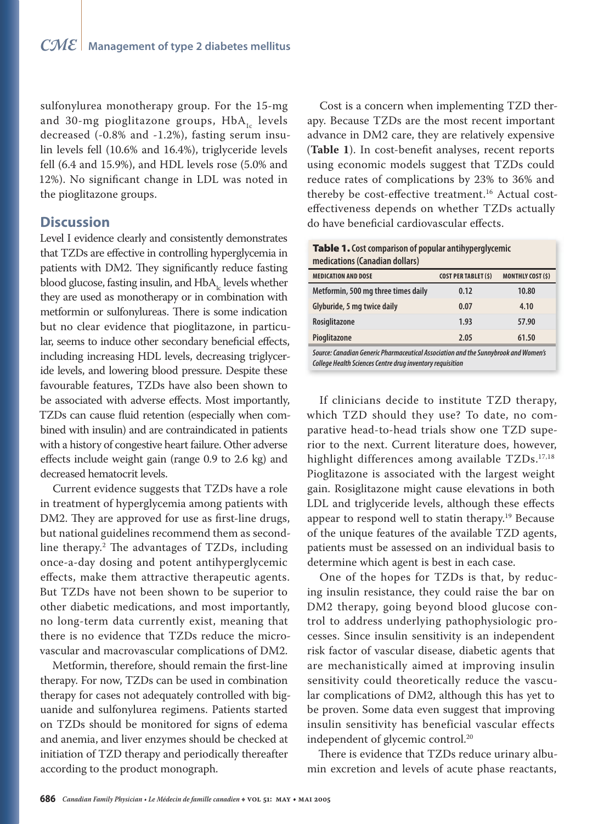sulfonylurea monotherapy group. For the 15-mg and 30-mg pioglitazone groups,  $HbA_{1c}$  levels decreased (-0.8% and -1.2%), fasting serum insulin levels fell (10.6% and 16.4%), triglyceride levels fell (6.4 and 15.9%), and HDL levels rose (5.0% and 12%). No significant change in LDL was noted in the pioglitazone groups.

#### **Discussion**

Level I evidence clearly and consistently demonstrates that TZDs are effective in controlling hyperglycemia in patients with DM2. They significantly reduce fasting blood glucose, fasting insulin, and  $HbA_{\mu}$  levels whether they are used as monotherapy or in combination with metformin or sulfonylureas. There is some indication but no clear evidence that pioglitazone, in particular, seems to induce other secondary beneficial effects, including increasing HDL levels, decreasing triglyceride levels, and lowering blood pressure. Despite these favourable features, TZDs have also been shown to be associated with adverse effects. Most importantly, TZDs can cause fluid retention (especially when combined with insulin) and are contraindicated in patients with a history of congestive heart failure. Other adverse effects include weight gain (range  $0.9$  to  $2.6$  kg) and decreased hematocrit levels.

Current evidence suggests that TZDs have a role in treatment of hyperglycemia among patients with DM2. They are approved for use as first-line drugs, but national guidelines recommend them as secondline therapy.<sup>2</sup> The advantages of TZDs, including once-a-day dosing and potent antihyperglycemic effects, make them attractive therapeutic agents. But TZDs have not been shown to be superior to other diabetic medications, and most importantly, no long-term data currently exist, meaning that there is no evidence that TZDs reduce the microvascular and macrovascular complications of DM2.

Metformin, therefore, should remain the first-line therapy. For now, TZDs can be used in combination therapy for cases not adequately controlled with biguanide and sulfonylurea regimens. Patients started on TZDs should be monitored for signs of edema and anemia, and liver enzymes should be checked at initiation of TZD therapy and periodically thereafter according to the product monograph.

Cost is a concern when implementing TZD therapy. Because TZDs are the most recent important advance in DM2 care, they are relatively expensive (Table 1). In cost-benefit analyses, recent reports using economic models suggest that TZDs could reduce rates of complications by 23% to 36% and thereby be cost-effective treatment.<sup>16</sup> Actual costeffectiveness depends on whether TZDs actually do have beneficial cardiovascular effects.

| <b>Table 1.</b> Cost comparison of popular antihyperglycemic |  |
|--------------------------------------------------------------|--|
| medications (Canadian dollars)                               |  |

| <b>MEDICATION AND DOSE</b>                                                                                                                             | <b>COST PER TABLET (\$)</b> | <b>MONTHLY COST (\$)</b> |  |
|--------------------------------------------------------------------------------------------------------------------------------------------------------|-----------------------------|--------------------------|--|
| Metformin, 500 mg three times daily                                                                                                                    | 0.12                        | 10.80                    |  |
| Glyburide, 5 mg twice daily                                                                                                                            | 0.07                        | 4.10                     |  |
| Rosiglitazone                                                                                                                                          | 1.93                        | 57.90                    |  |
| Pioglitazone                                                                                                                                           | 2.05                        | 61.50                    |  |
| Source: Canadian Generic Pharmaceutical Association and the Sunnybrook and Women's<br><b>College Health Sciences Centre drug inventory requisition</b> |                             |                          |  |

If clinicians decide to institute TZD therapy, which TZD should they use? To date, no comparative head-to-head trials show one TZD superior to the next. Current literature does, however, highlight differences among available TZDs.17,18 Pioglitazone is associated with the largest weight gain. Rosiglitazone might cause elevations in both LDL and triglyceride levels, although these effects appear to respond well to statin therapy.<sup>19</sup> Because of the unique features of the available TZD agents, patients must be assessed on an individual basis to determine which agent is best in each case.

One of the hopes for TZDs is that, by reducing insulin resistance, they could raise the bar on DM2 therapy, going beyond blood glucose control to address underlying pathophysiologic processes. Since insulin sensitivity is an independent risk factor of vascular disease, diabetic agents that are mechanistically aimed at improving insulin sensitivity could theoretically reduce the vascular complications of DM2, although this has yet to be proven. Some data even suggest that improving insulin sensitivity has beneficial vascular effects independent of glycemic control.<sup>20</sup>

There is evidence that TZDs reduce urinary albumin excretion and levels of acute phase reactants,